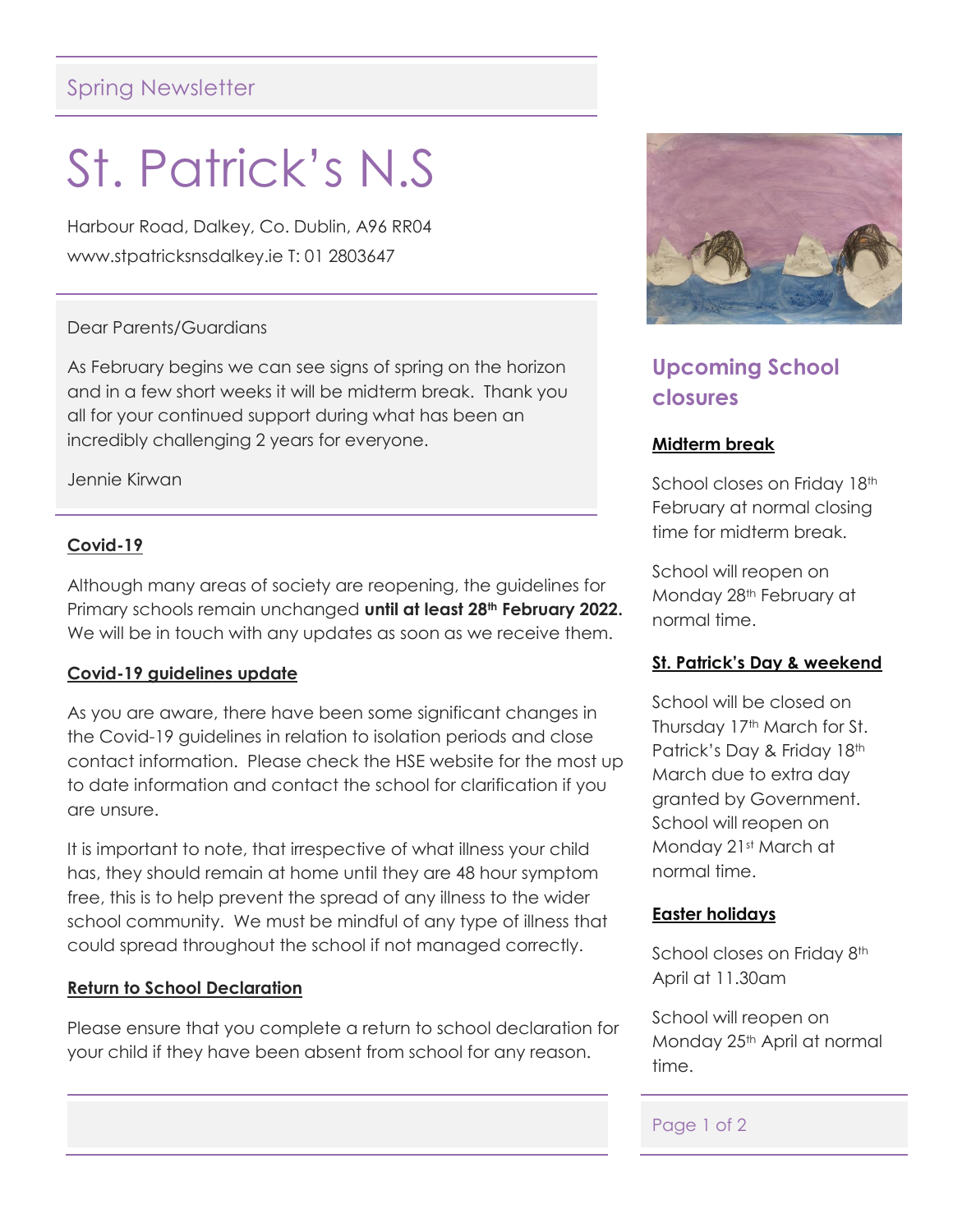## Spring Newsletter

# St. Patrick's N.S

Harbour Road, Dalkey, Co. Dublin, A96 RR04 www.stpatricksnsdalkey.ie T: 01 2803647

#### Dear Parents/Guardians

As February begins we can see signs of spring on the horizon and in a few short weeks it will be midterm break. Thank you all for your continued support during what has been an incredibly challenging 2 years for everyone.

Jennie Kirwan

#### **Covid-19**

Although many areas of society are reopening, the guidelines for Primary schools remain unchanged **until at least 28th February 2022.** We will be in touch with any updates as soon as we receive them.

#### **Covid-19 guidelines update**

As you are aware, there have been some significant changes in the Covid-19 guidelines in relation to isolation periods and close contact information. Please check the HSE website for the most up to date information and contact the school for clarification if you are unsure.

It is important to note, that irrespective of what illness your child has, they should remain at home until they are 48 hour symptom free, this is to help prevent the spread of any illness to the wider school community. We must be mindful of any type of illness that could spread throughout the school if not managed correctly.

#### **Return to School Declaration**

Please ensure that you complete a return to school declaration for your child if they have been absent from school for any reason.



## **Upcoming School closures**

#### **Midterm break**

School closes on Friday 18th February at normal closing time for midterm break.

School will reopen on Monday 28<sup>th</sup> February at normal time.

#### **St. Patrick's Day & weekend**

School will be closed on Thursday 17<sup>th</sup> March for St. Patrick's Day & Friday 18th March due to extra day granted by Government. School will reopen on Monday 21st March at normal time.

#### **Easter holidays**

School closes on Friday 8th April at 11.30am

School will reopen on Monday 25<sup>th</sup> April at normal time.

#### Page 1 of 2